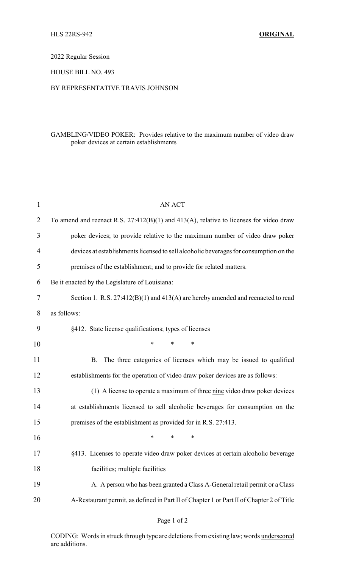# 2022 Regular Session

## HOUSE BILL NO. 493

#### BY REPRESENTATIVE TRAVIS JOHNSON

### GAMBLING/VIDEO POKER: Provides relative to the maximum number of video draw poker devices at certain establishments

| 1  | <b>AN ACT</b>                                                                               |
|----|---------------------------------------------------------------------------------------------|
| 2  | To amend and reenact R.S. $27:412(B)(1)$ and $413(A)$ , relative to licenses for video draw |
| 3  | poker devices; to provide relative to the maximum number of video draw poker                |
| 4  | devices at establishments licensed to sell alcoholic beverages for consumption on the       |
| 5  | premises of the establishment; and to provide for related matters.                          |
| 6  | Be it enacted by the Legislature of Louisiana:                                              |
| 7  | Section 1. R.S. $27:412(B)(1)$ and $413(A)$ are hereby amended and reenacted to read        |
| 8  | as follows:                                                                                 |
| 9  | §412. State license qualifications; types of licenses                                       |
| 10 | $\ast$<br>$\ast$<br>*                                                                       |
| 11 | The three categories of licenses which may be issued to qualified<br>Β.                     |
| 12 | establishments for the operation of video draw poker devices are as follows:                |
| 13 | $(1)$ A license to operate a maximum of three nine video draw poker devices                 |
| 14 | at establishments licensed to sell alcoholic beverages for consumption on the               |
| 15 | premises of the establishment as provided for in R.S. 27:413.                               |
| 16 | *<br>*<br>∗                                                                                 |
| 17 | §413. Licenses to operate video draw poker devices at certain alcoholic beverage            |
| 18 | facilities; multiple facilities                                                             |
| 19 | A. A person who has been granted a Class A-General retail permit or a Class                 |
| 20 | A-Restaurant permit, as defined in Part II of Chapter 1 or Part II of Chapter 2 of Title    |
|    |                                                                                             |

# Page 1 of 2

CODING: Words in struck through type are deletions from existing law; words underscored are additions.